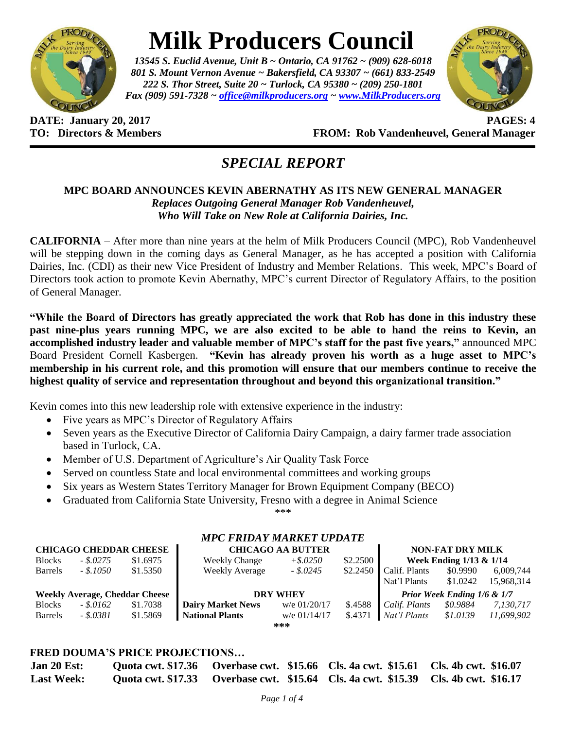

# **Milk Producers Council**

*13545 S. Euclid Avenue, Unit B ~ Ontario, CA 91762 ~ (909) 628-6018 801 S. Mount Vernon Avenue ~ Bakersfield, CA 93307 ~ (661) 833-2549 222 S. Thor Street, Suite 20 ~ Turlock, CA 95380 ~ (209) 250-1801 Fax (909) 591-7328 ~ [office@milkproducers.org](mailto:office@milkproducers.org) ~ [www.MilkProducers.org](http://www.milkproducers.org/)*



**DATE: January 20, 2017 PAGES: 4 TO: Directors & Members FROM: Rob Vandenheuvel, General Manager**

# *SPECIAL REPORT*

## **MPC BOARD ANNOUNCES KEVIN ABERNATHY AS ITS NEW GENERAL MANAGER** *Replaces Outgoing General Manager Rob Vandenheuvel, Who Will Take on New Role at California Dairies, Inc.*

**CALIFORNIA** – After more than nine years at the helm of Milk Producers Council (MPC), Rob Vandenheuvel will be stepping down in the coming days as General Manager, as he has accepted a position with California Dairies, Inc. (CDI) as their new Vice President of Industry and Member Relations. This week, MPC's Board of Directors took action to promote Kevin Abernathy, MPC's current Director of Regulatory Affairs, to the position of General Manager.

**"While the Board of Directors has greatly appreciated the work that Rob has done in this industry these past nine-plus years running MPC, we are also excited to be able to hand the reins to Kevin, an accomplished industry leader and valuable member of MPC's staff for the past five years,"** announced MPC Board President Cornell Kasbergen. **"Kevin has already proven his worth as a huge asset to MPC's membership in his current role, and this promotion will ensure that our members continue to receive the highest quality of service and representation throughout and beyond this organizational transition."**

Kevin comes into this new leadership role with extensive experience in the industry:

- Five years as MPC's Director of Regulatory Affairs
- Seven years as the Executive Director of California Dairy Campaign, a dairy farmer trade association based in Turlock, CA.
- Member of U.S. Department of Agriculture's Air Quality Task Force
- Served on countless State and local environmental committees and working groups
- Six years as Western States Territory Manager for Brown Equipment Company (BECO)
- Graduated from California State University, Fresno with a degree in Animal Science

\*\*\*

*MPC FRIDAY MARKET UPDATE*

|                                       |            |          | MI C FINDAT MANNET VI DATE |                          |          |                             |                         |            |  |
|---------------------------------------|------------|----------|----------------------------|--------------------------|----------|-----------------------------|-------------------------|------------|--|
| <b>CHICAGO CHEDDAR CHEESE</b>         |            |          |                            | <b>CHICAGO AA BUTTER</b> |          |                             | <b>NON-FAT DRY MILK</b> |            |  |
| <b>Blocks</b>                         | $-.5.0275$ | \$1.6975 | <b>Weekly Change</b>       | $+$ \$.0250              | \$2.2500 | Week Ending $1/13 \& 1/14$  |                         |            |  |
| <b>Barrels</b>                        | $-.8.1050$ | \$1.5350 | <b>Weekly Average</b>      | $-.5.0245$               | \$2.2450 | Calif. Plants               | \$0.9990                | 6,009,744  |  |
|                                       |            |          |                            |                          |          | Nat'l Plants                | \$1,0242                | 15,968,314 |  |
| <b>Weekly Average, Cheddar Cheese</b> |            |          | <b>DRY WHEY</b>            |                          |          | Prior Week Ending 1/6 & 1/7 |                         |            |  |
| <b>Blocks</b>                         | $-.5.0162$ | \$1.7038 | <b>Dairy Market News</b>   | w/e $01/20/17$           | \$.4588  | Calif. Plants               | \$0.9884                | 7,130,717  |  |
| Barrels                               | - \$.0381  | \$1.5869 | <b>National Plants</b>     | w/e $01/14/17$           | \$.4371  | Nat'l Plants                | \$1.0139                | 11.699.902 |  |
|                                       |            |          |                            | ***                      |          |                             |                         |            |  |
|                                       |            |          |                            |                          |          |                             |                         |            |  |

## **FRED DOUMA'S PRICE PROJECTIONS…**

| <b>Jan 20 Est:</b> |  | Quota cwt. \$17.36 Qverbase cwt. \$15.66 Cls. 4a cwt. \$15.61 Cls. 4b cwt. \$16.07 |                                                                                    |
|--------------------|--|------------------------------------------------------------------------------------|------------------------------------------------------------------------------------|
| <b>Last Week:</b>  |  |                                                                                    | Quota cwt. \$17.33 Overbase cwt. \$15.64 Cls. 4a cwt. \$15.39 Cls. 4b cwt. \$16.17 |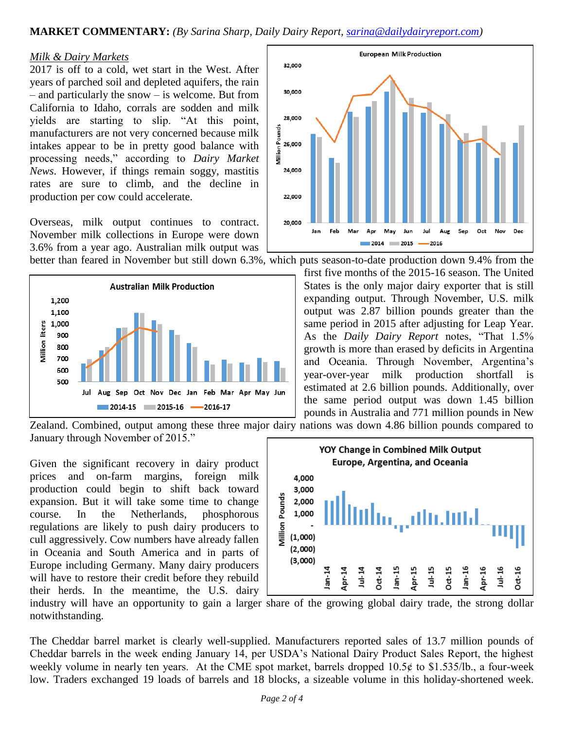**MARKET COMMENTARY:** *(By Sarina Sharp, Daily Dairy Report, [sarina@dailydairyreport.com\)](mailto:sarina@dailydairyreport.com)*

#### *Milk & Dairy Markets*

2017 is off to a cold, wet start in the West. After years of parched soil and depleted aquifers, the rain – and particularly the snow – is welcome. But from California to Idaho, corrals are sodden and milk yields are starting to slip. "At this point, manufacturers are not very concerned because milk intakes appear to be in pretty good balance with processing needs," according to *Dairy Market News*. However, if things remain soggy, mastitis rates are sure to climb, and the decline in production per cow could accelerate.

Overseas, milk output continues to contract. November milk collections in Europe were down 3.6% from a year ago. Australian milk output was





better than feared in November but still down 6.3%, which puts season-to-date production down 9.4% from the first five months of the 2015-16 season. The United States is the only major dairy exporter that is still expanding output. Through November, U.S. milk output was 2.87 billion pounds greater than the same period in 2015 after adjusting for Leap Year. As the *Daily Dairy Report* notes, "That 1.5% growth is more than erased by deficits in Argentina and Oceania. Through November, Argentina's year-over-year milk production shortfall is estimated at 2.6 billion pounds. Additionally, over the same period output was down 1.45 billion pounds in Australia and 771 million pounds in New

Zealand. Combined, output among these three major dairy nations was down 4.86 billion pounds compared to January through November of 2015."

Given the significant recovery in dairy product prices and on-farm margins, foreign milk production could begin to shift back toward expansion. But it will take some time to change course. In the Netherlands, phosphorous regulations are likely to push dairy producers to cull aggressively. Cow numbers have already fallen in Oceania and South America and in parts of Europe including Germany. Many dairy producers will have to restore their credit before they rebuild their herds. In the meantime, the U.S. dairy



industry will have an opportunity to gain a larger share of the growing global dairy trade, the strong dollar notwithstanding.

The Cheddar barrel market is clearly well-supplied. Manufacturers reported sales of 13.7 million pounds of Cheddar barrels in the week ending January 14, per USDA's National Dairy Product Sales Report, the highest weekly volume in nearly ten years. At the CME spot market, barrels dropped  $10.5¢$  to \$1.535/lb., a four-week low. Traders exchanged 19 loads of barrels and 18 blocks, a sizeable volume in this holiday-shortened week.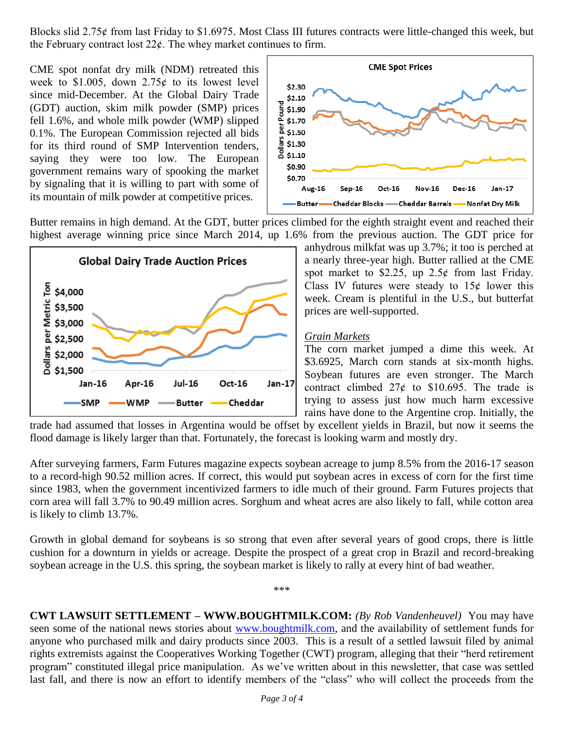Blocks slid 2.75 $\ell$  from last Friday to \$1.6975. Most Class III futures contracts were little-changed this week, but the February contract lost  $22¢$ . The whey market continues to firm.

CME spot nonfat dry milk (NDM) retreated this week to \$1.005, down  $2.75¢$  to its lowest level since mid-December. At the Global Dairy Trade (GDT) auction, skim milk powder (SMP) prices fell 1.6%, and whole milk powder (WMP) slipped 0.1%. The European Commission rejected all bids for its third round of SMP Intervention tenders, saying they were too low. The European government remains wary of spooking the market by signaling that it is willing to part with some of its mountain of milk powder at competitive prices.



Butter remains in high demand. At the GDT, butter prices climbed for the eighth straight event and reached their highest average winning price since March 2014, up 1.6% from the previous auction. The GDT price for



anhydrous milkfat was up 3.7%; it too is perched at a nearly three-year high. Butter rallied at the CME spot market to \$2.25, up  $2.5¢$  from last Friday. Class IV futures were steady to  $15¢$  lower this week. Cream is plentiful in the U.S., but butterfat prices are well-supported.

#### *Grain Markets*

The corn market jumped a dime this week. At \$3.6925, March corn stands at six-month highs. Soybean futures are even stronger. The March contract climbed  $27¢$  to \$10.695. The trade is trying to assess just how much harm excessive rains have done to the Argentine crop. Initially, the

trade had assumed that losses in Argentina would be offset by excellent yields in Brazil, but now it seems the flood damage is likely larger than that. Fortunately, the forecast is looking warm and mostly dry.

After surveying farmers, Farm Futures magazine expects soybean acreage to jump 8.5% from the 2016-17 season to a record-high 90.52 million acres. If correct, this would put soybean acres in excess of corn for the first time since 1983, when the government incentivized farmers to idle much of their ground. Farm Futures projects that corn area will fall 3.7% to 90.49 million acres. Sorghum and wheat acres are also likely to fall, while cotton area is likely to climb 13.7%.

Growth in global demand for soybeans is so strong that even after several years of good crops, there is little cushion for a downturn in yields or acreage. Despite the prospect of a great crop in Brazil and record-breaking soybean acreage in the U.S. this spring, the soybean market is likely to rally at every hint of bad weather.

\*\*\*

**CWT LAWSUIT SETTLEMENT – WWW.BOUGHTMILK.COM:** *(By Rob Vandenheuvel)* You may have seen some of the national news stories about [www.boughtmilk.com,](http://www.boughtmilk.com/) and the availability of settlement funds for anyone who purchased milk and dairy products since 2003. This is a result of a settled lawsuit filed by animal rights extremists against the Cooperatives Working Together (CWT) program, alleging that their "herd retirement program" constituted illegal price manipulation. As we've written about in this newsletter, that case was settled last fall, and there is now an effort to identify members of the "class" who will collect the proceeds from the